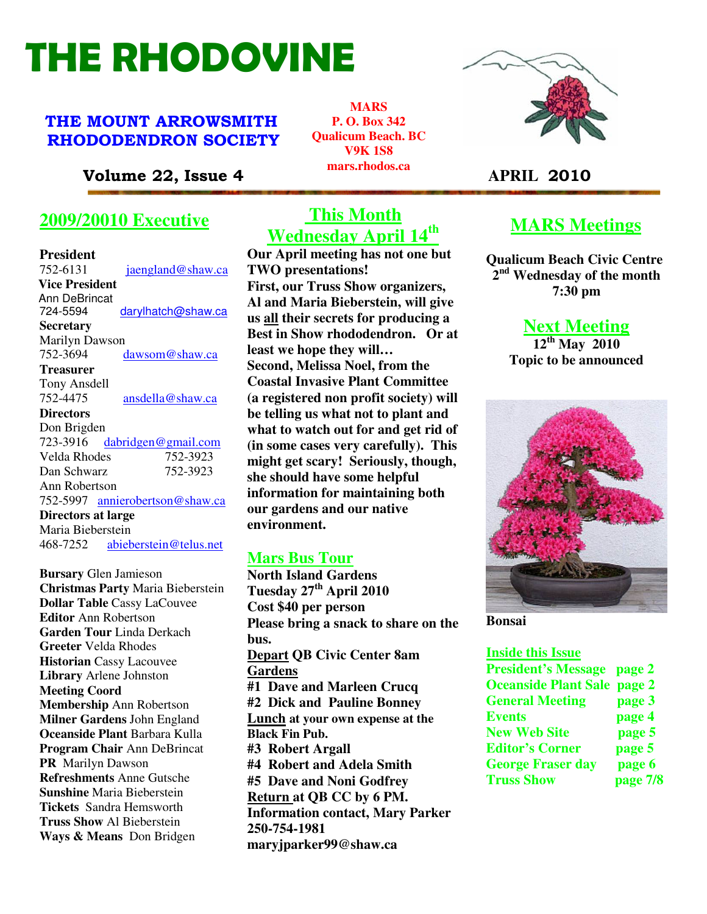# THE RHODOVINE

# THE MOUNT ARROWSMITH RHODODENDRON SOCIETY

Volume 22, Issue 4 **APRIL** 2010

# **2009/20010 Executive**

#### **President**

| 752-6131<br>jaengland@shaw.ca      |
|------------------------------------|
| <b>Vice President</b>              |
| Ann DeBrincat                      |
| 724-5594<br>darylhatch@shaw.ca     |
| Secretary                          |
| Marilyn Dawson                     |
| 752-3694<br>dawsom@shaw.ca         |
| <b>Treasurer</b>                   |
| Tony Ansdell                       |
| 752-4475<br>ansdella@shaw.ca       |
| <b>Directors</b>                   |
| Don Brigden                        |
| 723-3916<br>dabridgen@gmail.com    |
| Velda Rhodes<br>752-3923           |
| 752-3923<br>Dan Schwarz            |
| Ann Robertson                      |
| 752-5997 annierobertson@shaw.ca    |
| Directors at large                 |
| Maria Bieberstein                  |
| 468-7252<br>abieberstein@telus.net |
|                                    |

**Bursary** Glen Jamieson **Christmas Party** Maria Bieberstein **Dollar Table** Cassy LaCouvee **Editor** Ann Robertson **Garden Tour** Linda Derkach **Greeter** Velda Rhodes **Historian** Cassy Lacouvee **Library** Arlene Johnston **Meeting Coord Membership** Ann Robertson **Milner Gardens** John England **Oceanside Plant** Barbara Kulla **Program Chair** Ann DeBrincat **PR** Marilyn Dawson **Refreshments** Anne Gutsche **Sunshine** Maria Bieberstein **Tickets** Sandra Hemsworth **Truss Show** Al Bieberstein **Ways & Means** Don Bridgen

# **This Month Wednesday April 14th**

**MARS P. O. Box 342 Qualicum Beach. BC V9K 1S8 mars.rhodos.ca** 

**Our April meeting has not one but TWO presentations! First, our Truss Show organizers, Al and Maria Bieberstein, will give us all their secrets for producing a Best in Show rhododendron. Or at least we hope they will… Second, Melissa Noel, from the Coastal Invasive Plant Committee (a registered non profit society) will be telling us what not to plant and what to watch out for and get rid of (in some cases very carefully). This might get scary! Seriously, though, she should have some helpful information for maintaining both our gardens and our native environment.** 

## **Mars Bus Tour**

**Refreshments Anne Gutsche** #5 Dave and Noni Godfrey **North Island Gardens Tuesday 27th April 2010 Cost \$40 per person Please bring a snack to share on the bus. Depart QB Civic Center 8am Gardens #1 Dave and Marleen Crucq #2 Dick and Pauline Bonney Lunch at your own expense at the Black Fin Pub. #3 Robert Argall #4 Robert and Adela Smith Return at QB CC by 6 PM. Information contact, Mary Parker 250-754-1981 maryjparker99@shaw.ca** 



# **MARS Meetings**

**Qualicum Beach Civic Centre 2 nd Wednesday of the month 7:30 pm** 

**Next Meeting** 

**12th May 2010 Topic to be announced** 



**Bonsai** 

#### **Inside this Issue**

| <b>President's Message page 2</b>  |          |
|------------------------------------|----------|
| <b>Oceanside Plant Sale page 2</b> |          |
| <b>General Meeting</b>             | page 3   |
| <b>Events</b>                      | page 4   |
| <b>New Web Site</b>                | page 5   |
| <b>Editor's Corner</b>             | page 5   |
| <b>George Fraser day</b>           | page 6   |
| <b>Truss Show</b>                  | page 7/8 |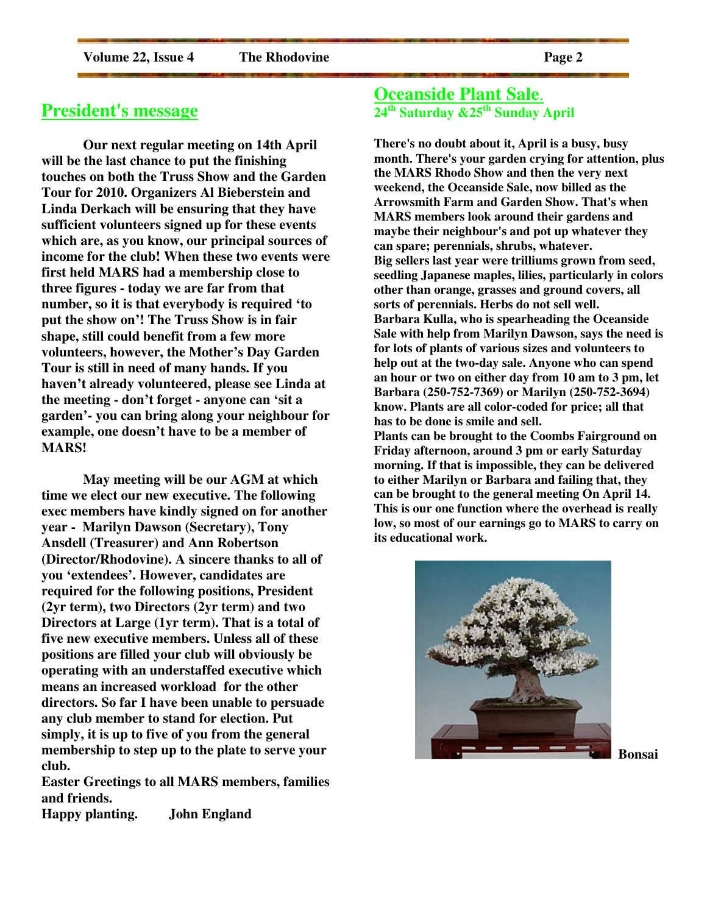## **President's message**

**Our next regular meeting on 14th April will be the last chance to put the finishing touches on both the Truss Show and the Garden Tour for 2010. Organizers Al Bieberstein and Linda Derkach will be ensuring that they have sufficient volunteers signed up for these events which are, as you know, our principal sources of income for the club! When these two events were first held MARS had a membership close to three figures - today we are far from that number, so it is that everybody is required 'to put the show on'! The Truss Show is in fair shape, still could benefit from a few more volunteers, however, the Mother's Day Garden Tour is still in need of many hands. If you haven't already volunteered, please see Linda at the meeting - don't forget - anyone can 'sit a garden'- you can bring along your neighbour for example, one doesn't have to be a member of MARS!** 

 **May meeting will be our AGM at which time we elect our new executive. The following exec members have kindly signed on for another year - Marilyn Dawson (Secretary), Tony Ansdell (Treasurer) and Ann Robertson (Director/Rhodovine). A sincere thanks to all of you 'extendees'. However, candidates are required for the following positions, President (2yr term), two Directors (2yr term) and two Directors at Large (1yr term). That is a total of five new executive members. Unless all of these positions are filled your club will obviously be operating with an understaffed executive which means an increased workload for the other directors. So far I have been unable to persuade any club member to stand for election. Put simply, it is up to five of you from the general membership to step up to the plate to serve your club.** 

**Easter Greetings to all MARS members, families and friends.** 

**Happy planting. John England** 

## **Oceanside Plant Sale**. **24th Saturday &25th Sunday April**

**There's no doubt about it, April is a busy, busy month. There's your garden crying for attention, plus the MARS Rhodo Show and then the very next weekend, the Oceanside Sale, now billed as the Arrowsmith Farm and Garden Show. That's when MARS members look around their gardens and maybe their neighbour's and pot up whatever they can spare; perennials, shrubs, whatever. Big sellers last year were trilliums grown from seed, seedling Japanese maples, lilies, particularly in colors other than orange, grasses and ground covers, all sorts of perennials. Herbs do not sell well. Barbara Kulla, who is spearheading the Oceanside Sale with help from Marilyn Dawson, says the need is for lots of plants of various sizes and volunteers to help out at the two-day sale. Anyone who can spend an hour or two on either day from 10 am to 3 pm, let Barbara (250-752-7369) or Marilyn (250-752-3694) know. Plants are all color-coded for price; all that has to be done is smile and sell. Plants can be brought to the Coombs Fairground on Friday afternoon, around 3 pm or early Saturday morning. If that is impossible, they can be delivered to either Marilyn or Barbara and failing that, they can be brought to the general meeting On April 14. This is our one function where the overhead is really** 



**low, so most of our earnings go to MARS to carry on** 

**its educational work.**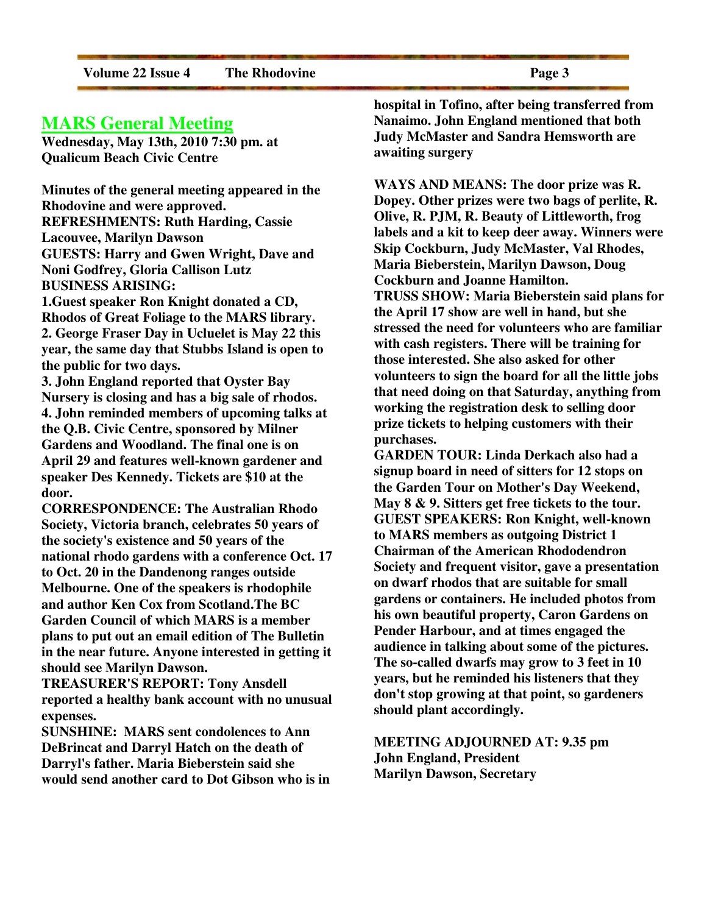## **MARS General Meeting**

**Wednesday, May 13th, 2010 7:30 pm. at Qualicum Beach Civic Centre** 

**Minutes of the general meeting appeared in the Rhodovine and were approved. REFRESHMENTS: Ruth Harding, Cassie Lacouvee, Marilyn Dawson GUESTS: Harry and Gwen Wright, Dave and Noni Godfrey, Gloria Callison Lutz BUSINESS ARISING: 1.Guest speaker Ron Knight donated a CD,** 

**Rhodos of Great Foliage to the MARS library. 2. George Fraser Day in Ucluelet is May 22 this year, the same day that Stubbs Island is open to the public for two days.** 

**3. John England reported that Oyster Bay Nursery is closing and has a big sale of rhodos. 4. John reminded members of upcoming talks at the Q.B. Civic Centre, sponsored by Milner Gardens and Woodland. The final one is on April 29 and features well-known gardener and speaker Des Kennedy. Tickets are \$10 at the door.** 

**CORRESPONDENCE: The Australian Rhodo Society, Victoria branch, celebrates 50 years of the society's existence and 50 years of the national rhodo gardens with a conference Oct. 17 to Oct. 20 in the Dandenong ranges outside Melbourne. One of the speakers is rhodophile and author Ken Cox from Scotland.The BC Garden Council of which MARS is a member plans to put out an email edition of The Bulletin in the near future. Anyone interested in getting it should see Marilyn Dawson.** 

**TREASURER'S REPORT: Tony Ansdell reported a healthy bank account with no unusual expenses.** 

**SUNSHINE: MARS sent condolences to Ann DeBrincat and Darryl Hatch on the death of Darryl's father. Maria Bieberstein said she would send another card to Dot Gibson who is in**  **hospital in Tofino, after being transferred from Nanaimo. John England mentioned that both Judy McMaster and Sandra Hemsworth are awaiting surgery** 

**WAYS AND MEANS: The door prize was R. Dopey. Other prizes were two bags of perlite, R. Olive, R. PJM, R. Beauty of Littleworth, frog labels and a kit to keep deer away. Winners were Skip Cockburn, Judy McMaster, Val Rhodes, Maria Bieberstein, Marilyn Dawson, Doug Cockburn and Joanne Hamilton. TRUSS SHOW: Maria Bieberstein said plans for the April 17 show are well in hand, but she stressed the need for volunteers who are familiar with cash registers. There will be training for those interested. She also asked for other volunteers to sign the board for all the little jobs that need doing on that Saturday, anything from working the registration desk to selling door prize tickets to helping customers with their purchases.** 

**GARDEN TOUR: Linda Derkach also had a signup board in need of sitters for 12 stops on the Garden Tour on Mother's Day Weekend, May 8 & 9. Sitters get free tickets to the tour. GUEST SPEAKERS: Ron Knight, well-known to MARS members as outgoing District 1 Chairman of the American Rhododendron Society and frequent visitor, gave a presentation on dwarf rhodos that are suitable for small gardens or containers. He included photos from his own beautiful property, Caron Gardens on Pender Harbour, and at times engaged the audience in talking about some of the pictures. The so-called dwarfs may grow to 3 feet in 10 years, but he reminded his listeners that they don't stop growing at that point, so gardeners should plant accordingly.** 

**MEETING ADJOURNED AT: 9.35 pm John England, President Marilyn Dawson, Secretary**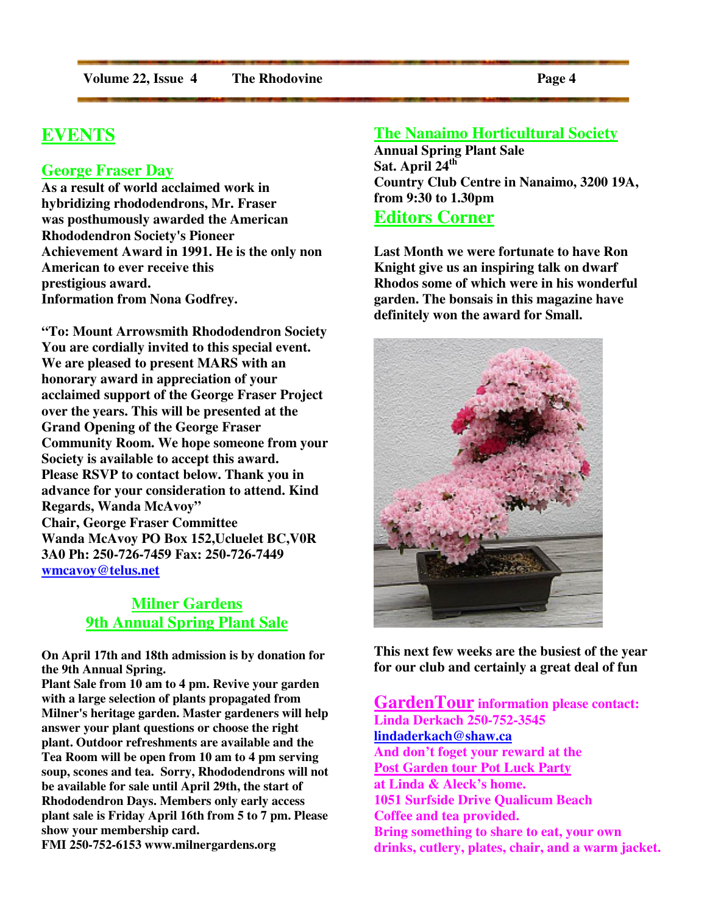# **EVENTS**

#### **George Fraser Day**

**As a result of world acclaimed work in hybridizing rhododendrons, Mr. Fraser was posthumously awarded the American Rhododendron Society's Pioneer Achievement Award in 1991. He is the only non American to ever receive this prestigious award. Information from Nona Godfrey.**

**"To: Mount Arrowsmith Rhododendron Society You are cordially invited to this special event. We are pleased to present MARS with an honorary award in appreciation of your acclaimed support of the George Fraser Project over the years. This will be presented at the Grand Opening of the George Fraser Community Room. We hope someone from your Society is available to accept this award. Please RSVP to contact below. Thank you in advance for your consideration to attend. Kind Regards, Wanda McAvoy" Chair, George Fraser Committee Wanda McAvoy PO Box 152,Ucluelet BC,V0R 3A0 Ph: 250-726-7459 Fax: 250-726-7449 wmcavoy@telus.net**

## **Milner Gardens 9th Annual Spring Plant Sale**

**On April 17th and 18th admission is by donation for the 9th Annual Spring.** 

**Plant Sale from 10 am to 4 pm. Revive your garden with a large selection of plants propagated from Milner's heritage garden. Master gardeners will help answer your plant questions or choose the right plant. Outdoor refreshments are available and the Tea Room will be open from 10 am to 4 pm serving soup, scones and tea. Sorry, Rhododendrons will not be available for sale until April 29th, the start of Rhododendron Days. Members only early access plant sale is Friday April 16th from 5 to 7 pm. Please show your membership card.** 

**FMI 250-752-6153 www.milnergardens.org** 

#### **The Nanaimo Horticultural Society**

**Annual Spring Plant Sale Sat. April 24th Country Club Centre in Nanaimo, 3200 19A, from 9:30 to 1.30pm Editors Corner**

**Last Month we were fortunate to have Ron Knight give us an inspiring talk on dwarf Rhodos some of which were in his wonderful garden. The bonsais in this magazine have definitely won the award for Small.** 



**This next few weeks are the busiest of the year for our club and certainly a great deal of fun** 

**GardenTour information please contact: Linda Derkach 250-752-3545 lindaderkach@shaw.ca And don't foget your reward at the Post Garden tour Pot Luck Party at Linda & Aleck's home. 1051 Surfside Drive Qualicum Beach Coffee and tea provided. Bring something to share to eat, your own drinks, cutlery, plates, chair, and a warm jacket.**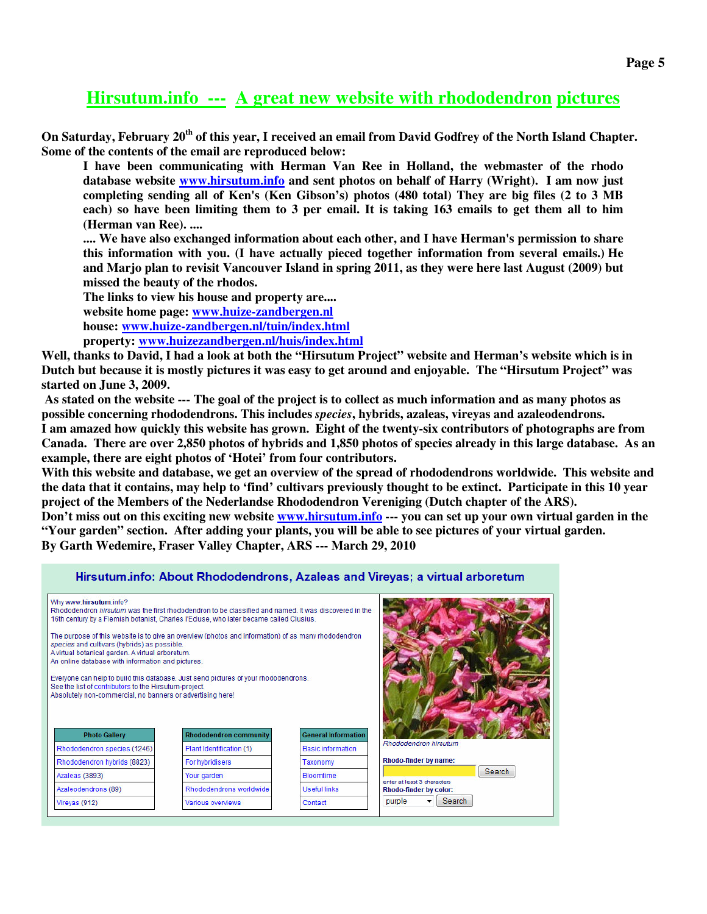# **Hirsutum.info --- A great new website with rhododendron pictures**

**On Saturday, February 20th of this year, I received an email from David Godfrey of the North Island Chapter. Some of the contents of the email are reproduced below:** 

**I have been communicating with Herman Van Ree in Holland, the webmaster of the rhodo database website www.hirsutum.info and sent photos on behalf of Harry (Wright). I am now just completing sending all of Ken's (Ken Gibson's) photos (480 total) They are big files (2 to 3 MB each) so have been limiting them to 3 per email. It is taking 163 emails to get them all to him (Herman van Ree). ....** 

**.... We have also exchanged information about each other, and I have Herman's permission to share this information with you. (I have actually pieced together information from several emails.) He and Marjo plan to revisit Vancouver Island in spring 2011, as they were here last August (2009) but missed the beauty of the rhodos.** 

**The links to view his house and property are.... website home page: www.huize-zandbergen.nl house: www.huize-zandbergen.nl/tuin/index.html property: www.huizezandbergen.nl/huis/index.html** 

**Well, thanks to David, I had a look at both the "Hirsutum Project" website and Herman's website which is in Dutch but because it is mostly pictures it was easy to get around and enjoyable. The "Hirsutum Project" was started on June 3, 2009.** 

 **As stated on the website --- The goal of the project is to collect as much information and as many photos as possible concerning rhododendrons. This includes** *species***, hybrids, azaleas, vireyas and azaleodendrons. I am amazed how quickly this website has grown. Eight of the twenty-six contributors of photographs are from Canada. There are over 2,850 photos of hybrids and 1,850 photos of species already in this large database. As an example, there are eight photos of 'Hotei' from four contributors.**

**With this website and database, we get an overview of the spread of rhododendrons worldwide. This website and the data that it contains, may help to 'find' cultivars previously thought to be extinct. Participate in this 10 year project of the Members of the Nederlandse Rhododendron Vereniging (Dutch chapter of the ARS). Don't miss out on this exciting new website www.hirsutum.info --- you can set up your own virtual garden in the "Your garden" section. After adding your plants, you will be able to see pictures of your virtual garden. By Garth Wedemire, Fraser Valley Chapter, ARS --- March 29, 2010** 

#### Hirsutum.info: About Rhododendrons, Azaleas and Vireyas; a virtual arboretum

| Why www.hirsutum.info?                                                                                                                                | Rhododendron hirsutum was the first rhododendron to be classified and named It was discovered in the<br>16th century by a Flemish botanist, Charles l'Ecluse, who later became called Clusius. |                            |                                                       |
|-------------------------------------------------------------------------------------------------------------------------------------------------------|------------------------------------------------------------------------------------------------------------------------------------------------------------------------------------------------|----------------------------|-------------------------------------------------------|
| species and cultivars (hybrids) as possible.<br>A virtual botanical garden. A virtual arboretum.<br>An online database with information and pictures. | The purpose of this website is to give an overview (photos and information) of as many rhododendron                                                                                            |                            |                                                       |
| See the list of contributors to the Hirsutum-project.                                                                                                 | Everyone can help to build this database. Just send pictures of your rhododendrons.                                                                                                            |                            |                                                       |
|                                                                                                                                                       |                                                                                                                                                                                                |                            |                                                       |
| Absolutely non-commercial, no banners or advertising here!<br><b>Photo Gallery</b>                                                                    | <b>Rhododendron community</b>                                                                                                                                                                  | <b>General Information</b> |                                                       |
| Rhododendron species (1246)                                                                                                                           | Plant Identification (1)                                                                                                                                                                       | <b>Basic information</b>   | Rhododendron hirsutum                                 |
| Rhododendron hybrids (8823)                                                                                                                           | For hybridisers                                                                                                                                                                                | Taxonomy                   | Rhodo-finder by name:                                 |
| Azaleas (3893)                                                                                                                                        | Your garden                                                                                                                                                                                    | <b>Bloomtime</b>           | Search                                                |
| Azaleodendrons (89)                                                                                                                                   | Rhododendrons worldwide                                                                                                                                                                        | <b>Useful links</b>        | enter at least 3 characters<br>Rhodo-finder by color: |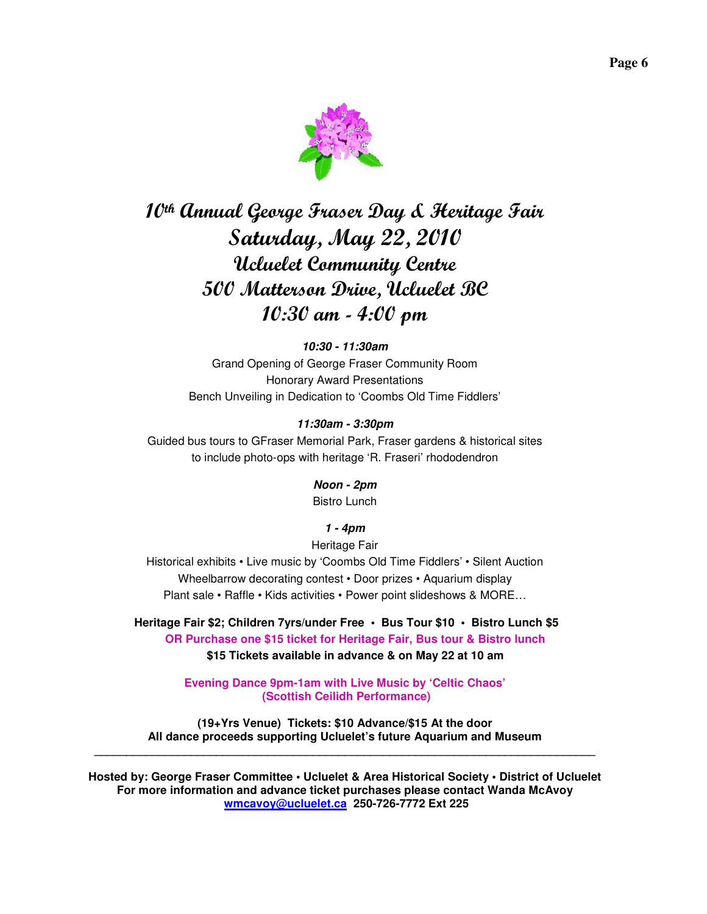

# 10th Annual George Fraser Day & Heritage Fair Saturday, May 22, 2010 Ucluelet Community Centre 500 Matterson Drive, Ucluelet BC 10:30 am - 4:00 pm

#### **10:30 - 11:30am**

Grand Opening of George Fraser Community Room Honorary Award Presentations Bench Unveiling in Dedication to 'Coombs Old Time Fiddlers'

#### **11:30am - 3:30pm**

Guided bus tours to GFraser Memorial Park, Fraser gardens & historical sites to include photo-ops with heritage 'R. Fraseri' rhododendron

#### **Noon - 2pm**

Bistro Lunch

#### **1 - 4pm**

Heritage Fair Historical exhibits • Live music by 'Coombs Old Time Fiddlers' • Silent Auction Wheelbarrow decorating contest • Door prizes • Aquarium display Plant sale • Raffle • Kids activities • Power point slideshows & MORE…

**Heritage Fair \$2; Children 7yrs/under Free • Bus Tour \$10 • Bistro Lunch \$5 OR Purchase one \$15 ticket for Heritage Fair, Bus tour & Bistro lunch \$15 Tickets available in advance & on May 22 at 10 am** 

> **Evening Dance 9pm-1am with Live Music by 'Celtic Chaos' (Scottish Ceilidh Performance)**

**(19+Yrs Venue) Tickets: \$10 Advance/\$15 At the door All dance proceeds supporting Ucluelet's future Aquarium and Museum \_\_\_\_\_\_\_\_\_\_\_\_\_\_\_\_\_\_\_\_\_\_\_\_\_\_\_\_\_\_\_\_\_\_\_\_\_\_\_\_\_\_\_\_\_\_\_\_\_\_\_\_\_\_\_\_\_\_\_\_\_\_\_\_\_\_\_\_\_\_\_\_\_\_\_\_\_\_** 

**Hosted by: George Fraser Committee • Ucluelet & Area Historical Society • District of Ucluelet For more information and advance ticket purchases please contact Wanda McAvoy wmcavoy@ucluelet.ca 250-726-7772 Ext 225**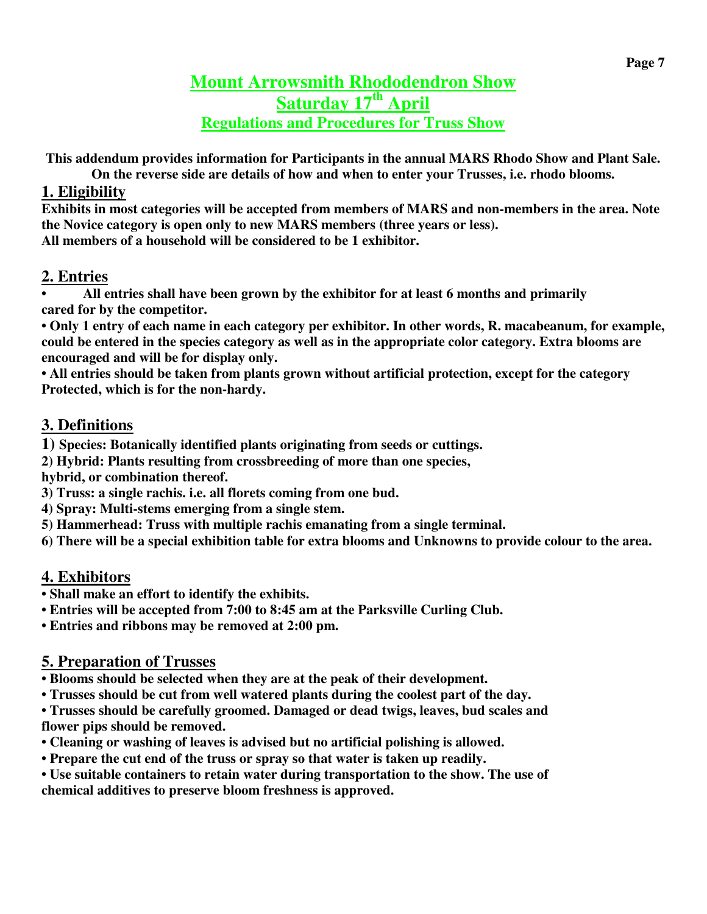# **Mount Arrowsmith Rhododendron Show Saturday 17th April Regulations and Procedures for Truss Show**

**This addendum provides information for Participants in the annual MARS Rhodo Show and Plant Sale.** 

**On the reverse side are details of how and when to enter your Trusses, i.e. rhodo blooms.** 

# **1. Eligibility**

**Exhibits in most categories will be accepted from members of MARS and non-members in the area. Note the Novice category is open only to new MARS members (three years or less). All members of a household will be considered to be 1 exhibitor.** 

# **2. Entries**

**• All entries shall have been grown by the exhibitor for at least 6 months and primarily cared for by the competitor.** 

**• Only 1 entry of each name in each category per exhibitor. In other words, R. macabeanum, for example, could be entered in the species category as well as in the appropriate color category. Extra blooms are encouraged and will be for display only.** 

**• All entries should be taken from plants grown without artificial protection, except for the category Protected, which is for the non-hardy.** 

# **3. Definitions**

**1) Species: Botanically identified plants originating from seeds or cuttings.**

**2) Hybrid: Plants resulting from crossbreeding of more than one species,** 

**hybrid, or combination thereof.** 

**3) Truss: a single rachis. i.e. all florets coming from one bud.** 

- **4) Spray: Multi-stems emerging from a single stem.**
- **5) Hammerhead: Truss with multiple rachis emanating from a single terminal.**

**6) There will be a special exhibition table for extra blooms and Unknowns to provide colour to the area.** 

# **4. Exhibitors**

- **Shall make an effort to identify the exhibits.**
- **Entries will be accepted from 7:00 to 8:45 am at the Parksville Curling Club.**

**• Entries and ribbons may be removed at 2:00 pm.** 

# **5. Preparation of Trusses**

**• Blooms should be selected when they are at the peak of their development.** 

**• Trusses should be cut from well watered plants during the coolest part of the day.** 

**• Trusses should be carefully groomed. Damaged or dead twigs, leaves, bud scales and flower pips should be removed.** 

- **Cleaning or washing of leaves is advised but no artificial polishing is allowed.**
- **Prepare the cut end of the truss or spray so that water is taken up readily.**
- **Use suitable containers to retain water during transportation to the show. The use of chemical additives to preserve bloom freshness is approved.**